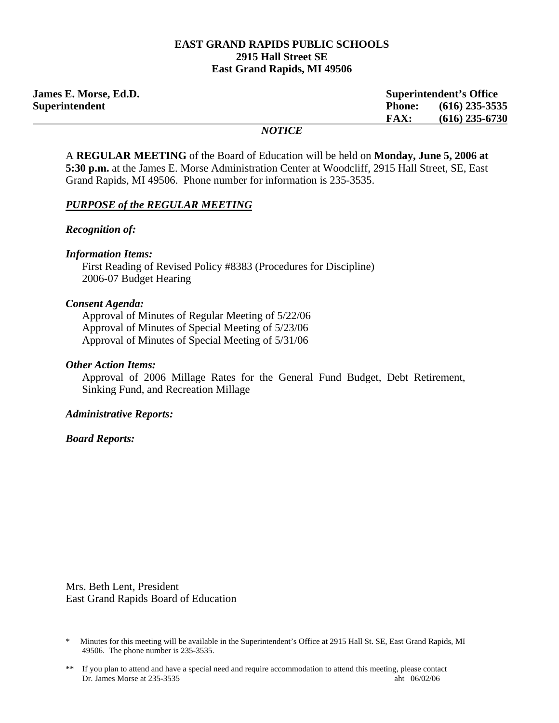#### **EAST GRAND RAPIDS PUBLIC SCHOOLS 2915 Hall Street SE East Grand Rapids, MI 49506**

| <b>James E. Morse, Ed.D.</b> | <b>Superintendent's Office</b>    |
|------------------------------|-----------------------------------|
| Superintendent               | $(616)$ 235-3535<br><b>Phone:</b> |
|                              | $(616)$ 235-6730<br><b>FAX:</b>   |
|                              | <b>NOTICE</b>                     |

A **REGULAR MEETING** of the Board of Education will be held on **Monday, June 5, 2006 at 5:30 p.m.** at the James E. Morse Administration Center at Woodcliff, 2915 Hall Street, SE, East Grand Rapids, MI 49506. Phone number for information is 235-3535.

#### *PURPOSE of the REGULAR MEETING*

*Recognition of:* 

*Information Items:*  First Reading of Revised Policy #8383 (Procedures for Discipline) 2006-07 Budget Hearing

#### *Consent Agenda:*

 Approval of Minutes of Regular Meeting of 5/22/06 Approval of Minutes of Special Meeting of 5/23/06 Approval of Minutes of Special Meeting of 5/31/06

#### *Other Action Items:*

Approval of 2006 Millage Rates for the General Fund Budget, Debt Retirement, Sinking Fund, and Recreation Millage

### *Administrative Reports:*

#### *Board Reports:*

Mrs. Beth Lent, President East Grand Rapids Board of Education

<sup>\*</sup> Minutes for this meeting will be available in the Superintendent's Office at 2915 Hall St. SE, East Grand Rapids, MI 49506. The phone number is 235-3535.

<sup>\*\*</sup> If you plan to attend and have a special need and require accommodation to attend this meeting, please contact Dr. James Morse at 235-3535 aht 06/02/06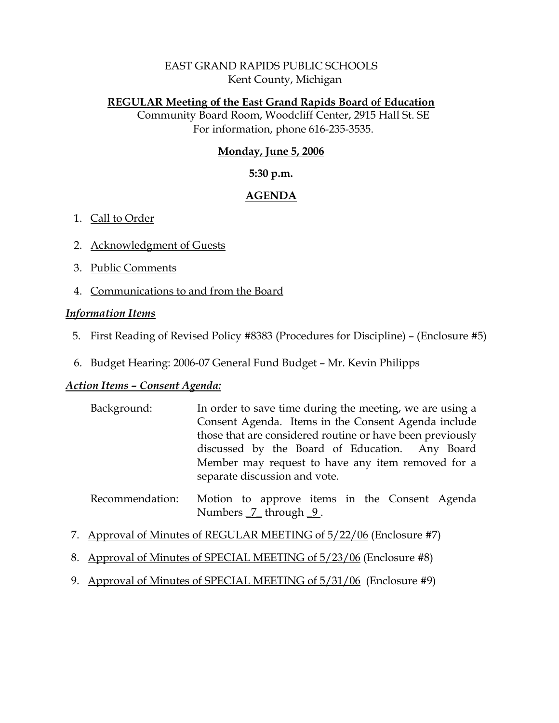### EAST GRAND RAPIDS PUBLIC SCHOOLS Kent County, Michigan

### **REGULAR Meeting of the East Grand Rapids Board of Education**

Community Board Room, Woodcliff Center, 2915 Hall St. SE For information, phone 616-235-3535.

# **Monday, June 5, 2006**

### **5:30 p.m.**

# **AGENDA**

# 1. Call to Order

- 2. Acknowledgment of Guests
- 3. Public Comments
- 4. Communications to and from the Board

# *Information Items*

- 5. First Reading of Revised Policy #8383 (Procedures for Discipline) (Enclosure #5)
- 6. Budget Hearing: 2006-07 General Fund Budget Mr. Kevin Philipps

# *Action Items – Consent Agenda:*

- Background: In order to save time during the meeting, we are using a Consent Agenda. Items in the Consent Agenda include those that are considered routine or have been previously discussed by the Board of Education. Any Board Member may request to have any item removed for a separate discussion and vote.
- Recommendation: Motion to approve items in the Consent Agenda Numbers  $\frac{7}{2}$  through  $\frac{9}{2}$ .
- 7. Approval of Minutes of REGULAR MEETING of 5/22/06 (Enclosure #7)
- 8. Approval of Minutes of SPECIAL MEETING of 5/23/06 (Enclosure #8)
- 9. Approval of Minutes of SPECIAL MEETING of 5/31/06 (Enclosure #9)